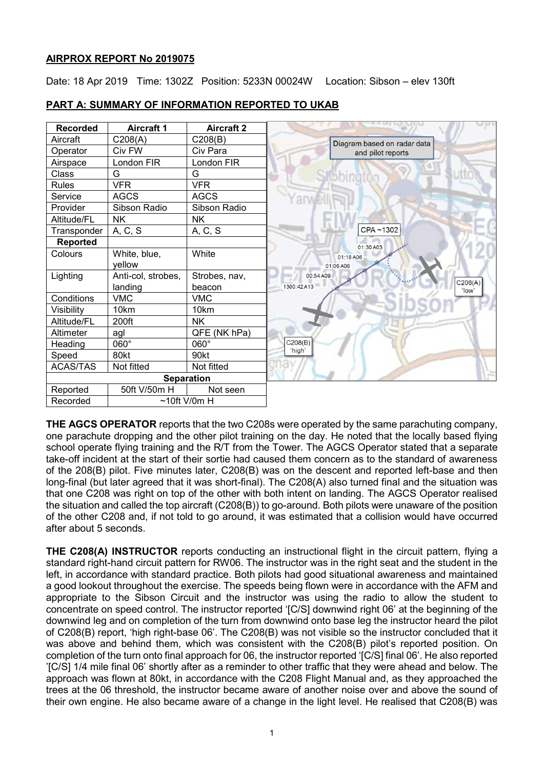### **AIRPROX REPORT No 2019075**

Date: 18 Apr 2019 Time: 1302Z Position: 5233N 00024W Location: Sibson - elev 130ft

| <b>Recorded</b>   | <b>Aircraft 1</b>  | <b>Aircraft 2</b> |  |
|-------------------|--------------------|-------------------|--|
| Aircraft          | C208(A)            | C208(B)           |  |
| Operator          | Civ FW             | Civ Para          |  |
| Airspace          | London FIR         | London FIR        |  |
| Class             | G                  | G                 |  |
| <b>Rules</b>      | <b>VFR</b>         | <b>VFR</b>        |  |
| Service           | <b>AGCS</b>        | <b>AGCS</b>       |  |
| Provider          | Sibson Radio       | Sibson Radio      |  |
| Altitude/FL       | <b>NK</b>          | <b>NK</b>         |  |
| Transponder       | A, C, S            | A, C, S           |  |
| <b>Reported</b>   |                    |                   |  |
| Colours           | White, blue,       | White             |  |
|                   | vellow             |                   |  |
| Lighting          | Anti-col, strobes, | Strobes, nav,     |  |
|                   | landing            | beacon            |  |
| Conditions        | <b>VMC</b>         | <b>VMC</b>        |  |
| Visibility        | 10km               | 10km              |  |
| Altitude/FL       | 200ft              | <b>NK</b>         |  |
| Altimeter         | agl                | QFE (NK hPa)      |  |
| Heading           | 060°               | 060°              |  |
| Speed             | 80kt               | 90kt              |  |
| <b>ACAS/TAS</b>   | Not fitted         | Not fitted        |  |
| <b>Separation</b> |                    |                   |  |
| Reported          | 50ft V/50m H       | Not seen          |  |
| Recorded          | $~10$ ft V/0m H    |                   |  |

# **PART A: SUMMARY OF INFORMATION REPORTED TO UKAB**

**THE AGCS OPERATOR** reports that the two C208s were operated by the same parachuting company, one parachute dropping and the other pilot training on the day. He noted that the locally based flying school operate flying training and the R/T from the Tower. The AGCS Operator stated that a separate take-off incident at the start of their sortie had caused them concern as to the standard of awareness of the 208(B) pilot. Five minutes later, C208(B) was on the descent and reported left-base and then long-final (but later agreed that it was short-final). The C208(A) also turned final and the situation was that one C208 was right on top of the other with both intent on landing. The AGCS Operator realised the situation and called the top aircraft (C208(B)) to go-around. Both pilots were unaware of the position of the other C208 and, if not told to go around, it was estimated that a collision would have occurred after about 5 seconds.

**THE C208(A) INSTRUCTOR** reports conducting an instructional flight in the circuit pattern, flying a standard right-hand circuit pattern for RW06. The instructor was in the right seat and the student in the left, in accordance with standard practice. Both pilots had good situational awareness and maintained a good lookout throughout the exercise. The speeds being flown were in accordance with the AFM and appropriate to the Sibson Circuit and the instructor was using the radio to allow the student to concentrate on speed control. The instructor reported '[C/S] downwind right 06' at the beginning of the downwind leg and on completion of the turn from downwind onto base leg the instructor heard the pilot of C208(B) report, 'high right-base 06'. The C208(B) was not visible so the instructor concluded that it was above and behind them, which was consistent with the C208(B) pilot's reported position. On completion of the turn onto final approach for 06, the instructor reported '[C/S] final 06'. He also reported '[C/S] 1/4 mile final 06' shortly after as a reminder to other traffic that they were ahead and below. The approach was flown at 80kt, in accordance with the C208 Flight Manual and, as they approached the trees at the 06 threshold, the instructor became aware of another noise over and above the sound of their own engine. He also became aware of a change in the light level. He realised that C208(B) was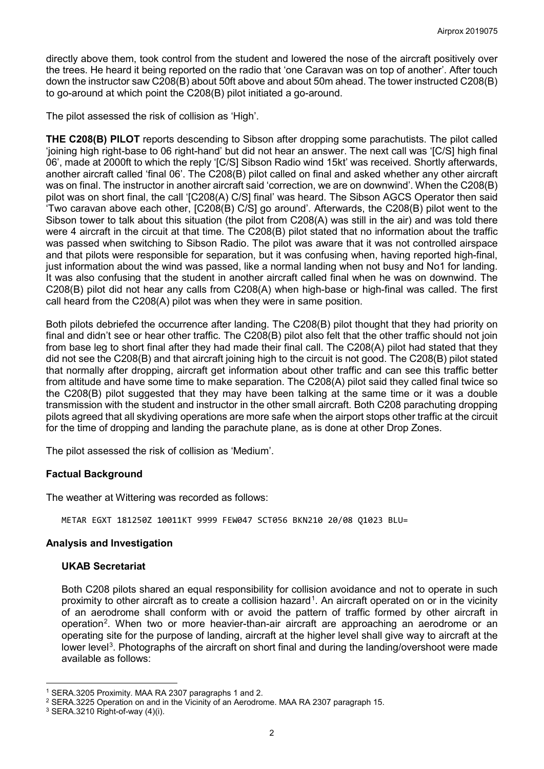directly above them, took control from the student and lowered the nose of the aircraft positively over the trees. He heard it being reported on the radio that 'one Caravan was on top of another'. After touch down the instructor saw C208(B) about 50ft above and about 50m ahead. The tower instructed C208(B) to go-around at which point the C208(B) pilot initiated a go-around.

The pilot assessed the risk of collision as 'High'.

**THE C208(B) PILOT** reports descending to Sibson after dropping some parachutists. The pilot called 'joining high right-base to 06 right-hand' but did not hear an answer. The next call was '[C/S] high final 06', made at 2000ft to which the reply '[C/S] Sibson Radio wind 15kt' was received. Shortly afterwards, another aircraft called 'final 06'. The C208(B) pilot called on final and asked whether any other aircraft was on final. The instructor in another aircraft said 'correction, we are on downwind'. When the C208(B) pilot was on short final, the call '[C208(A) C/S] final' was heard. The Sibson AGCS Operator then said 'Two caravan above each other, [C208(B) C/S] go around'. Afterwards, the C208(B) pilot went to the Sibson tower to talk about this situation (the pilot from C208(A) was still in the air) and was told there were 4 aircraft in the circuit at that time. The C208(B) pilot stated that no information about the traffic was passed when switching to Sibson Radio. The pilot was aware that it was not controlled airspace and that pilots were responsible for separation, but it was confusing when, having reported high-final, just information about the wind was passed, like a normal landing when not busy and No1 for landing. It was also confusing that the student in another aircraft called final when he was on downwind. The C208(B) pilot did not hear any calls from C208(A) when high-base or high-final was called. The first call heard from the C208(A) pilot was when they were in same position.

Both pilots debriefed the occurrence after landing. The C208(B) pilot thought that they had priority on final and didn't see or hear other traffic. The C208(B) pilot also felt that the other traffic should not join from base leg to short final after they had made their final call. The C208(A) pilot had stated that they did not see the C208(B) and that aircraft joining high to the circuit is not good. The C208(B) pilot stated that normally after dropping, aircraft get information about other traffic and can see this traffic better from altitude and have some time to make separation. The C208(A) pilot said they called final twice so the C208(B) pilot suggested that they may have been talking at the same time or it was a double transmission with the student and instructor in the other small aircraft. Both C208 parachuting dropping pilots agreed that all skydiving operations are more safe when the airport stops other traffic at the circuit for the time of dropping and landing the parachute plane, as is done at other Drop Zones.

The pilot assessed the risk of collision as 'Medium'.

#### **Factual Background**

The weather at Wittering was recorded as follows:

METAR EGXT 181250Z 10011KT 9999 FEW047 SCT056 BKN210 20/08 Q1023 BLU=

#### **Analysis and Investigation**

#### **UKAB Secretariat**

Both C208 pilots shared an equal responsibility for collision avoidance and not to operate in such proximity to other aircraft as to create a collision hazard<sup>[1](#page-1-0)</sup>. An aircraft operated on or in the vicinity of an aerodrome shall conform with or avoid the pattern of traffic formed by other aircraft in operation<sup>[2](#page-1-1)</sup>. When two or more heavier-than-air aircraft are approaching an aerodrome or an operating site for the purpose of landing, aircraft at the higher level shall give way to aircraft at the lower level<sup>[3](#page-1-2)</sup>. Photographs of the aircraft on short final and during the landing/overshoot were made available as follows:

 $\overline{\phantom{a}}$ 

<span id="page-1-0"></span><sup>1</sup> SERA.3205 Proximity. MAA RA 2307 paragraphs 1 and 2.

<span id="page-1-1"></span><sup>2</sup> SERA.3225 Operation on and in the Vicinity of an Aerodrome. MAA RA 2307 paragraph 15.

<span id="page-1-2"></span> $3$  SERA.3210 Right-of-way  $(4)(i)$ .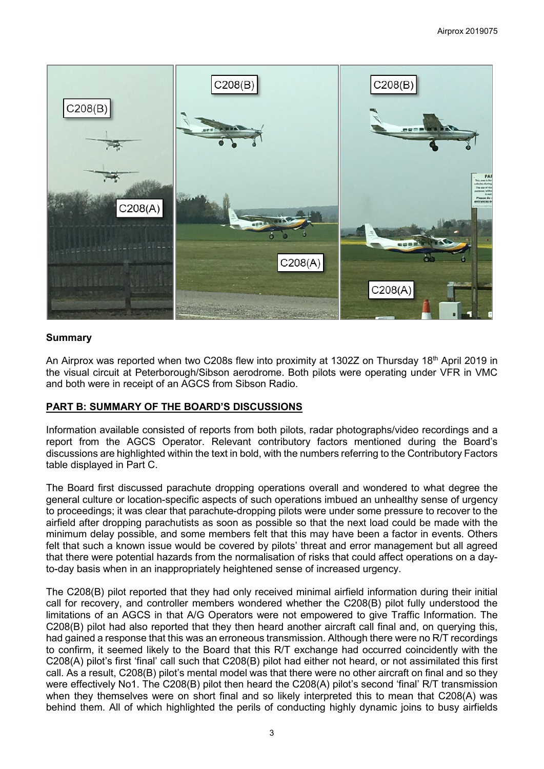

### **Summary**

An Airprox was reported when two C208s flew into proximity at 1302Z on Thursday 18th April 2019 in the visual circuit at Peterborough/Sibson aerodrome. Both pilots were operating under VFR in VMC and both were in receipt of an AGCS from Sibson Radio.

### **PART B: SUMMARY OF THE BOARD'S DISCUSSIONS**

Information available consisted of reports from both pilots, radar photographs/video recordings and a report from the AGCS Operator. Relevant contributory factors mentioned during the Board's discussions are highlighted within the text in bold, with the numbers referring to the Contributory Factors table displayed in Part C.

The Board first discussed parachute dropping operations overall and wondered to what degree the general culture or location-specific aspects of such operations imbued an unhealthy sense of urgency to proceedings; it was clear that parachute-dropping pilots were under some pressure to recover to the airfield after dropping parachutists as soon as possible so that the next load could be made with the minimum delay possible, and some members felt that this may have been a factor in events. Others felt that such a known issue would be covered by pilots' threat and error management but all agreed that there were potential hazards from the normalisation of risks that could affect operations on a dayto-day basis when in an inappropriately heightened sense of increased urgency.

The C208(B) pilot reported that they had only received minimal airfield information during their initial call for recovery, and controller members wondered whether the C208(B) pilot fully understood the limitations of an AGCS in that A/G Operators were not empowered to give Traffic Information. The C208(B) pilot had also reported that they then heard another aircraft call final and, on querying this, had gained a response that this was an erroneous transmission. Although there were no R/T recordings to confirm, it seemed likely to the Board that this R/T exchange had occurred coincidently with the C208(A) pilot's first 'final' call such that C208(B) pilot had either not heard, or not assimilated this first call. As a result, C208(B) pilot's mental model was that there were no other aircraft on final and so they were effectively No1. The C208(B) pilot then heard the C208(A) pilot's second 'final' R/T transmission when they themselves were on short final and so likely interpreted this to mean that C208(A) was behind them. All of which highlighted the perils of conducting highly dynamic joins to busy airfields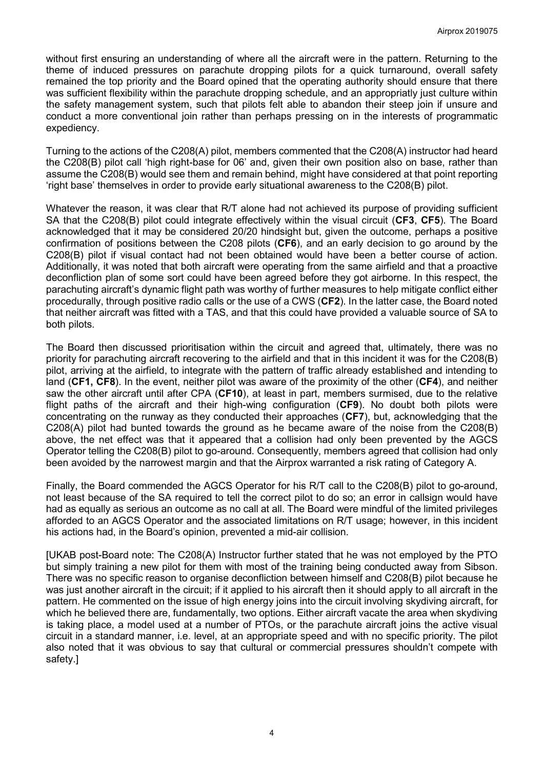without first ensuring an understanding of where all the aircraft were in the pattern. Returning to the theme of induced pressures on parachute dropping pilots for a quick turnaround, overall safety remained the top priority and the Board opined that the operating authority should ensure that there was sufficient flexibility within the parachute dropping schedule, and an appropriatly just culture within the safety management system, such that pilots felt able to abandon their steep join if unsure and conduct a more conventional join rather than perhaps pressing on in the interests of programmatic expediency.

Turning to the actions of the C208(A) pilot, members commented that the C208(A) instructor had heard the C208(B) pilot call 'high right-base for 06' and, given their own position also on base, rather than assume the C208(B) would see them and remain behind, might have considered at that point reporting 'right base' themselves in order to provide early situational awareness to the C208(B) pilot.

Whatever the reason, it was clear that R/T alone had not achieved its purpose of providing sufficient SA that the C208(B) pilot could integrate effectively within the visual circuit (**CF3**, **CF5**). The Board acknowledged that it may be considered 20/20 hindsight but, given the outcome, perhaps a positive confirmation of positions between the C208 pilots (**CF6**), and an early decision to go around by the C208(B) pilot if visual contact had not been obtained would have been a better course of action. Additionally, it was noted that both aircraft were operating from the same airfield and that a proactive deconfliction plan of some sort could have been agreed before they got airborne. In this respect, the parachuting aircraft's dynamic flight path was worthy of further measures to help mitigate conflict either procedurally, through positive radio calls or the use of a CWS (**CF2**). In the latter case, the Board noted that neither aircraft was fitted with a TAS, and that this could have provided a valuable source of SA to both pilots.

The Board then discussed prioritisation within the circuit and agreed that, ultimately, there was no priority for parachuting aircraft recovering to the airfield and that in this incident it was for the C208(B) pilot, arriving at the airfield, to integrate with the pattern of traffic already established and intending to land (**CF1, CF8**). In the event, neither pilot was aware of the proximity of the other (**CF4**), and neither saw the other aircraft until after CPA (**CF10**), at least in part, members surmised, due to the relative flight paths of the aircraft and their high-wing configuration (**CF9**). No doubt both pilots were concentrating on the runway as they conducted their approaches (**CF7**), but, acknowledging that the C208(A) pilot had bunted towards the ground as he became aware of the noise from the C208(B) above, the net effect was that it appeared that a collision had only been prevented by the AGCS Operator telling the C208(B) pilot to go-around. Consequently, members agreed that collision had only been avoided by the narrowest margin and that the Airprox warranted a risk rating of Category A.

Finally, the Board commended the AGCS Operator for his R/T call to the C208(B) pilot to go-around, not least because of the SA required to tell the correct pilot to do so; an error in callsign would have had as equally as serious an outcome as no call at all. The Board were mindful of the limited privileges afforded to an AGCS Operator and the associated limitations on R/T usage; however, in this incident his actions had, in the Board's opinion, prevented a mid-air collision.

[UKAB post-Board note: The C208(A) Instructor further stated that he was not employed by the PTO but simply training a new pilot for them with most of the training being conducted away from Sibson. There was no specific reason to organise deconfliction between himself and C208(B) pilot because he was just another aircraft in the circuit; if it applied to his aircraft then it should apply to all aircraft in the pattern. He commented on the issue of high energy joins into the circuit involving skydiving aircraft, for which he believed there are, fundamentally, two options. Either aircraft vacate the area when skydiving is taking place, a model used at a number of PTOs, or the parachute aircraft joins the active visual circuit in a standard manner, i.e. level, at an appropriate speed and with no specific priority. The pilot also noted that it was obvious to say that cultural or commercial pressures shouldn't compete with safety.]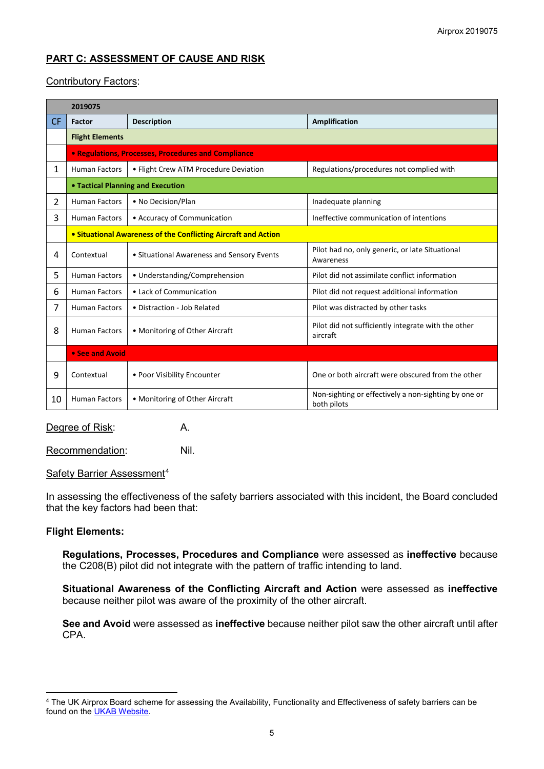# **PART C: ASSESSMENT OF CAUSE AND RISK**

## Contributory Factors:

|              | 2019075                                                        |                                            |                                                                     |  |  |  |  |
|--------------|----------------------------------------------------------------|--------------------------------------------|---------------------------------------------------------------------|--|--|--|--|
| <b>CF</b>    | <b>Factor</b>                                                  | <b>Description</b>                         | Amplification                                                       |  |  |  |  |
|              | <b>Flight Elements</b>                                         |                                            |                                                                     |  |  |  |  |
|              | • Regulations, Processes, Procedures and Compliance            |                                            |                                                                     |  |  |  |  |
| 1            | <b>Human Factors</b>                                           | • Flight Crew ATM Procedure Deviation      | Regulations/procedures not complied with                            |  |  |  |  |
|              | • Tactical Planning and Execution                              |                                            |                                                                     |  |  |  |  |
| $\mathbf{2}$ | <b>Human Factors</b>                                           | • No Decision/Plan                         | Inadequate planning                                                 |  |  |  |  |
| 3            | <b>Human Factors</b>                                           | • Accuracy of Communication                | Ineffective communication of intentions                             |  |  |  |  |
|              | • Situational Awareness of the Conflicting Aircraft and Action |                                            |                                                                     |  |  |  |  |
| 4            | Contextual                                                     | • Situational Awareness and Sensory Events | Pilot had no, only generic, or late Situational<br>Awareness        |  |  |  |  |
| 5            | <b>Human Factors</b>                                           | • Understanding/Comprehension              | Pilot did not assimilate conflict information                       |  |  |  |  |
| 6            | <b>Human Factors</b>                                           | • Lack of Communication                    | Pilot did not request additional information                        |  |  |  |  |
| 7            | <b>Human Factors</b>                                           | • Distraction - Job Related                | Pilot was distracted by other tasks                                 |  |  |  |  |
| 8            | <b>Human Factors</b>                                           | • Monitoring of Other Aircraft             | Pilot did not sufficiently integrate with the other<br>aircraft     |  |  |  |  |
|              | • See and Avoid                                                |                                            |                                                                     |  |  |  |  |
| 9            | Contextual                                                     | • Poor Visibility Encounter                | One or both aircraft were obscured from the other                   |  |  |  |  |
| 10           | <b>Human Factors</b>                                           | • Monitoring of Other Aircraft             | Non-sighting or effectively a non-sighting by one or<br>both pilots |  |  |  |  |

Degree of Risk: A.

Recommendation: Nil.

### Safety Barrier Assessment<sup>[4](#page-4-0)</sup>

In assessing the effectiveness of the safety barriers associated with this incident, the Board concluded that the key factors had been that:

#### **Flight Elements:**

l

**Regulations, Processes, Procedures and Compliance** were assessed as **ineffective** because the C208(B) pilot did not integrate with the pattern of traffic intending to land.

**Situational Awareness of the Conflicting Aircraft and Action** were assessed as **ineffective** because neither pilot was aware of the proximity of the other aircraft.

**See and Avoid** were assessed as **ineffective** because neither pilot saw the other aircraft until after CPA.

<span id="page-4-0"></span><sup>4</sup> The UK Airprox Board scheme for assessing the Availability, Functionality and Effectiveness of safety barriers can be found on the **UKAB Website**.